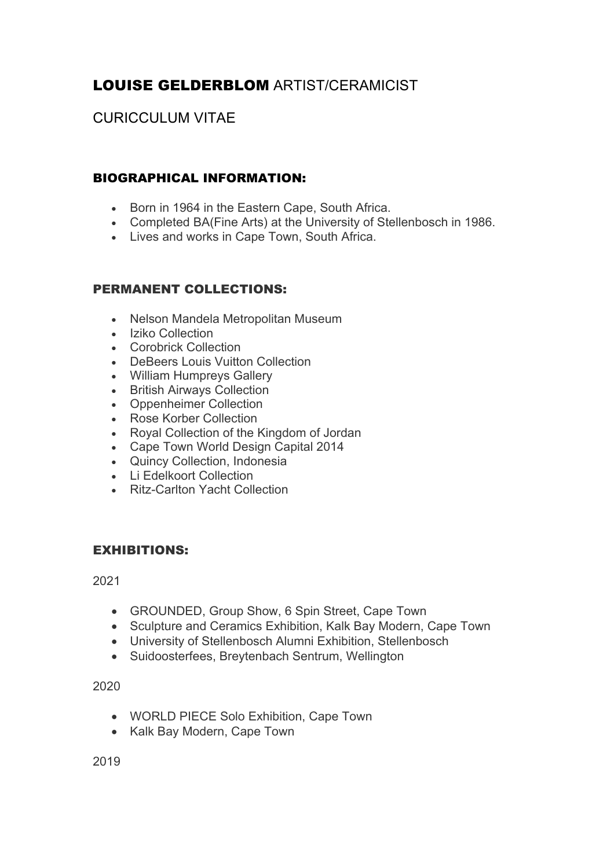# LOUISE GELDERBLOM ARTIST/CERAMICIST

## CURICCULUM VITAE

## BIOGRAPHICAL INFORMATION:

- Born in 1964 in the Eastern Cape, South Africa.
- Completed BA(Fine Arts) at the University of Stellenbosch in 1986.
- Lives and works in Cape Town, South Africa.

## PERMANENT COLLECTIONS:

- Nelson Mandela Metropolitan Museum
- Iziko Collection
- Corobrick Collection
- DeBeers Louis Vuitton Collection
- William Humpreys Gallery
- British Airways Collection
- Oppenheimer Collection
- Rose Korber Collection
- Royal Collection of the Kingdom of Jordan
- Cape Town World Design Capital 2014
- Quincy Collection, Indonesia
- Li Edelkoort Collection
- Ritz-Carlton Yacht Collection

## EXHIBITIONS:

2021

- GROUNDED, Group Show, 6 Spin Street, Cape Town
- Sculpture and Ceramics Exhibition, Kalk Bay Modern, Cape Town
- University of Stellenbosch Alumni Exhibition, Stellenbosch
- Suidoosterfees, Breytenbach Sentrum, Wellington

2020

- WORLD PIECE Solo Exhibition, Cape Town
- Kalk Bay Modern, Cape Town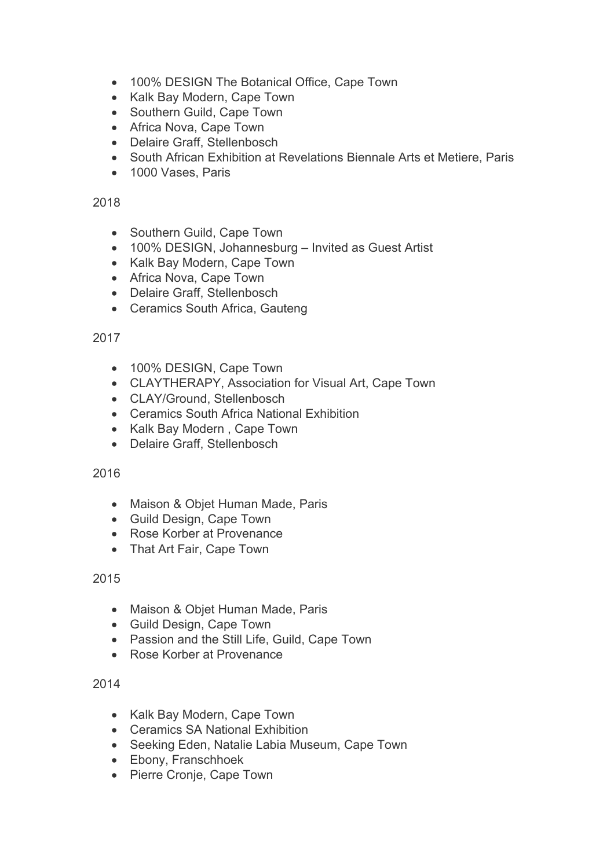- 100% DESIGN The Botanical Office, Cape Town
- Kalk Bay Modern, Cape Town
- Southern Guild, Cape Town
- Africa Nova, Cape Town
- Delaire Graff, Stellenbosch
- South African Exhibition at Revelations Biennale Arts et Metiere, Paris
- 1000 Vases, Paris

## 2018

- Southern Guild, Cape Town
- 100% DESIGN, Johannesburg Invited as Guest Artist
- Kalk Bay Modern, Cape Town
- Africa Nova, Cape Town
- Delaire Graff, Stellenbosch
- Ceramics South Africa, Gauteng

## 2017

- 100% DESIGN, Cape Town
- CLAYTHERAPY, Association for Visual Art, Cape Town
- CLAY/Ground, Stellenbosch
- Ceramics South Africa National Exhibition
- Kalk Bay Modern , Cape Town
- Delaire Graff, Stellenbosch

## 2016

- Maison & Objet Human Made, Paris
- Guild Design, Cape Town
- Rose Korber at Provenance
- That Art Fair, Cape Town

## 2015

- Maison & Objet Human Made, Paris
- Guild Design, Cape Town
- Passion and the Still Life, Guild, Cape Town
- Rose Korber at Provenance

- Kalk Bay Modern, Cape Town
- Ceramics SA National Exhibition
- Seeking Eden, Natalie Labia Museum, Cape Town
- Ebony, Franschhoek
- Pierre Cronje, Cape Town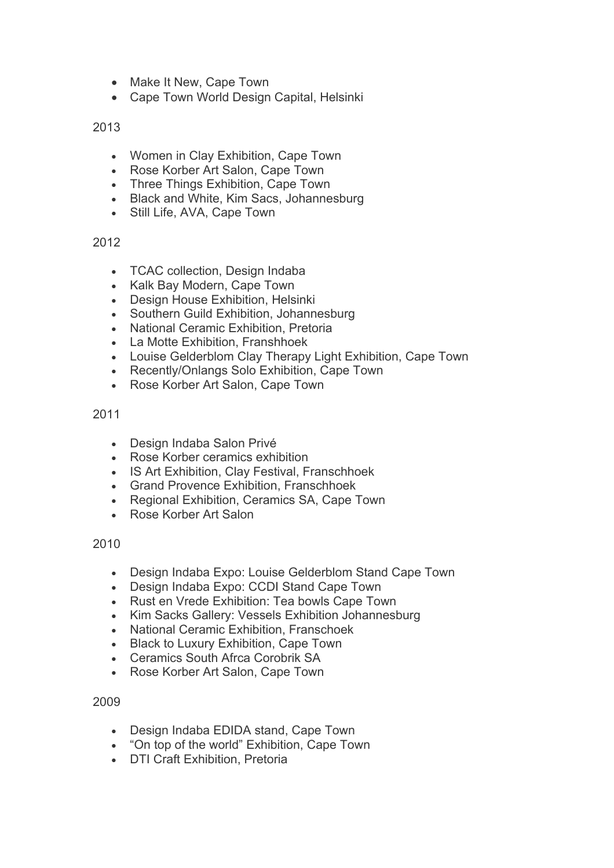- Make It New, Cape Town
- Cape Town World Design Capital, Helsinki

2013

- Women in Clay Exhibition, Cape Town
- Rose Korber Art Salon, Cape Town
- Three Things Exhibition, Cape Town
- Black and White, Kim Sacs, Johannesburg
- Still Life, AVA, Cape Town

2012

- TCAC collection, Design Indaba
- Kalk Bay Modern, Cape Town
- Design House Exhibition, Helsinki
- Southern Guild Exhibition, Johannesburg
- National Ceramic Exhibition, Pretoria
- La Motte Exhibition, Franshhoek
- Louise Gelderblom Clay Therapy Light Exhibition, Cape Town
- Recently/Onlangs Solo Exhibition, Cape Town
- Rose Korber Art Salon, Cape Town

2011

- Design Indaba Salon Privé
- Rose Korber ceramics exhibition
- IS Art Exhibition, Clay Festival, Franschhoek
- Grand Provence Exhibition, Franschhoek
- Regional Exhibition, Ceramics SA, Cape Town
- Rose Korber Art Salon

2010

- Design Indaba Expo: Louise Gelderblom Stand Cape Town
- Design Indaba Expo: CCDI Stand Cape Town
- Rust en Vrede Exhibition: Tea bowls Cape Town
- Kim Sacks Gallery: Vessels Exhibition Johannesburg
- National Ceramic Exhibition, Franschoek
- Black to Luxury Exhibition, Cape Town
- Ceramics South Afrca Corobrik SA
- Rose Korber Art Salon, Cape Town

- Design Indaba EDIDA stand, Cape Town
- "On top of the world" Exhibition, Cape Town
- DTI Craft Exhibition, Pretoria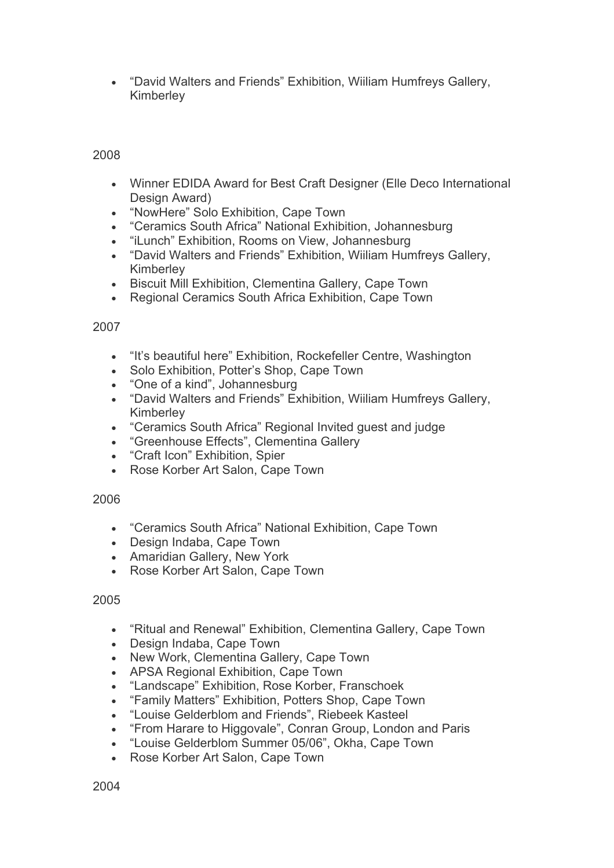• "David Walters and Friends" Exhibition, Wiiliam Humfreys Gallery, Kimberley

## 2008

- Winner EDIDA Award for Best Craft Designer (Elle Deco International Design Award)
- "NowHere" Solo Exhibition, Cape Town<br>• "Ceramics South Africa" National Exhibit
- "Ceramics South Africa" National Exhibition, Johannesburg
- "iLunch" Exhibition, Rooms on View, Johannesburg
- "David Walters and Friends" Exhibition, Wiiliam Humfreys Gallery, Kimberley
- Biscuit Mill Exhibition, Clementina Gallery, Cape Town
- Regional Ceramics South Africa Exhibition, Cape Town

## 2007

- "It's beautiful here" Exhibition, Rockefeller Centre, Washington
- Solo Exhibition, Potter's Shop, Cape Town
- "One of a kind", Johannesburg
- "David Walters and Friends" Exhibition, Wiiliam Humfreys Gallery, Kimberley
- "Ceramics South Africa" Regional Invited guest and judge
- "Greenhouse Effects", Clementina Gallery
- "Craft Icon" Exhibition, Spier
- Rose Korber Art Salon, Cape Town

#### 2006

- "Ceramics South Africa" National Exhibition, Cape Town
- Design Indaba, Cape Town
- Amaridian Gallery, New York
- Rose Korber Art Salon, Cape Town

#### 2005

- "Ritual and Renewal" Exhibition, Clementina Gallery, Cape Town
- Design Indaba, Cape Town
- New Work, Clementina Gallery, Cape Town
- APSA Regional Exhibition, Cape Town
- "Landscape" Exhibition, Rose Korber, Franschoek
- "Family Matters" Exhibition, Potters Shop, Cape Town
- "Louise Gelderblom and Friends", Riebeek Kasteel
- "From Harare to Higgovale", Conran Group, London and Paris
- "Louise Gelderblom Summer 05/06", Okha, Cape Town
- Rose Korber Art Salon, Cape Town